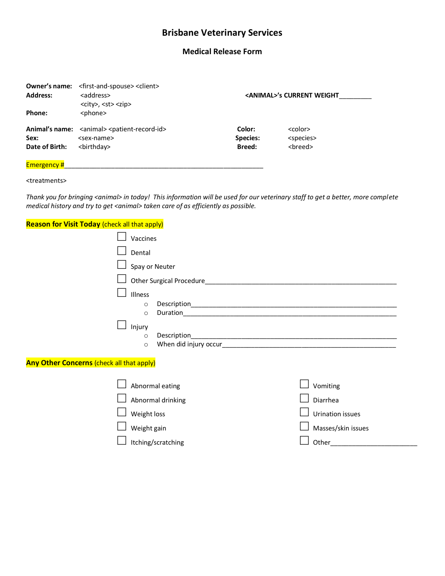## **Brisbane Veterinary Services**

## **Medical Release Form**

| Owner's name:<br><b>Address:</b> | <first-and-spouse> <client><br/><address><br/><city>, <st> <zip></zip></st></city></address></client></first-and-spouse> | <animal>'s CURRENT WEIGHT</animal> |                     |
|----------------------------------|--------------------------------------------------------------------------------------------------------------------------|------------------------------------|---------------------|
| Phone:                           | <phone></phone>                                                                                                          |                                    |                     |
|                                  | Animal's name: <animal><patient-record-id></patient-record-id></animal>                                                  | Color:                             | <color></color>     |
| Sex:                             | <sex-name></sex-name>                                                                                                    | Species:                           | <species></species> |
| Date of Birth:                   | <birthday></birthday>                                                                                                    | <b>Breed:</b>                      | <breed></breed>     |
| <b>Emergency#</b>                |                                                                                                                          |                                    |                     |

<treatments>

*Thank you for bringing <animal> in today! This information will be used for our veterinary staff to get a better, more complete*  medical history and try to get <animal> taken care of as efficiently as possible.

## **Reason for Visit Today** (check all that apply)

| Vaccines |                                  |  |  |
|----------|----------------------------------|--|--|
| Dental   |                                  |  |  |
|          | $\Box$ Spay or Neuter            |  |  |
|          | $\Box$ Other Surgical Procedure_ |  |  |
| Illness  |                                  |  |  |
| $\circ$  | Description                      |  |  |
| $\circ$  | Duration                         |  |  |
| Injury   |                                  |  |  |
| $\circ$  | Description_                     |  |  |
| $\circ$  | When did injury occur            |  |  |
|          |                                  |  |  |

**Any Other Concerns** (check all that apply)

| Abnormal eating    | Vomiting           |
|--------------------|--------------------|
| Abnormal drinking  | Diarrhea           |
| Weight loss        | Urination issues   |
| Weight gain        | Masses/skin issues |
| Itching/scratching | Other              |